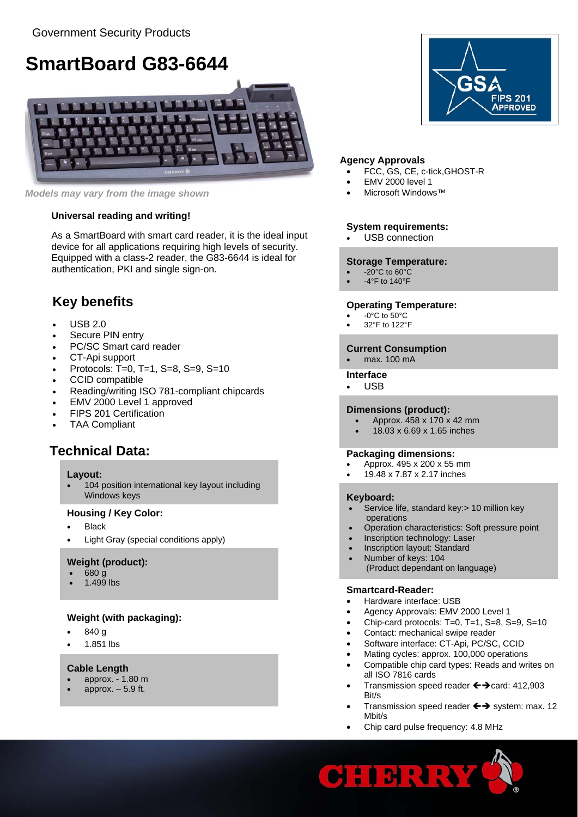# **SmartBoard G83-6644**



*Models may vary from the image shown* • Microsoft Windows™

### **Universal reading and writing!**

**System requirements:**<br>As a SmartBoard with smart card reader, it is the ideal input • USB connection device for all applications requiring high levels of security. Equipped with a class-2 reader, the G83-6644 is ideal for authentication, PKI and single sign-on.

# **Key benefits**

- USB 2.0
- Secure PIN entry
- PC/SC Smart card reader
- CT-Api support
- Protocols: T=0, T=1, S=8, S=9, S=10
- CCID compatible
- Reading/writing ISO 781-compliant chipcards
- EMV 2000 Level 1 approved
- FIPS 201 Certification
- TAA Compliant

## **Technical Data:**

#### **Layout:**

• 104 position international key layout including Windows keys **Keyboard: Keyboard: Keyboard: Keyboard: Keyboard: Keyboard: Keyboard: Keyboard: Keyboard: Keyboard: Keyboard: Keyboard: Keyboard: Keyboard: Keyboard: Keyboard: Keyboard: Keyb** 

#### **Housing / Key Color:**

- Black
- Light Gray (special conditions apply)

#### **Weight (product):**

- 680 g
- 1.499 lbs

### **Weight (with packaging):**

- 840 g
- 1.851 lbs

#### **Cable Length**

- approx. 1.80 m
- approx.  $-5.9$  ft.



#### **Agency Approvals**

- FCC, GS, CE, c-tick,GHOST-R
- EMV 2000 level 1
- 

#### **Storage Temperature:**

- -20°C to 60°C
- -4°F to 140°F

#### **Operating Temperature:**

- $-0$ °C to  $50$ °C
- 32°F to 122°F

### **Current Consumption**

• max. 100 mA

#### **Interface**

• USB

#### **Dimensions (product):**

- Approx. 458 x 170 x 42 mm
- 18.03 x 6.69 x 1.65 inches

#### **Packaging dimensions:**

- Approx. 495 x 200 x 55 mm
- 19.48 x 7.87 x 2.17 inches

- Service life, standard key: > 10 million key operations
- Operation characteristics: Soft pressure point
- Inscription technology: Laser
- Inscription layout: Standard
- Number of keys: 104 (Product dependant on language)

#### **Smartcard-Reader:**

- Hardware interface: USB
- Agency Approvals: EMV 2000 Level 1
- Chip-card protocols: T=0, T=1, S=8, S=9, S=10
- Contact: mechanical swipe reader
- Software interface: CT-Api, PC/SC, CCID
- Mating cycles: approx. 100,000 operations
- Compatible chip card types: Reads and writes on all ISO 7816 cards
- Transmission speed reader  $\leftrightarrow$  card: 412,903 Bit/s
- Transmission speed reader  $\leftrightarrow$  system: max. 12 Mbit/s
- Chip card pulse frequency: 4.8 MHz